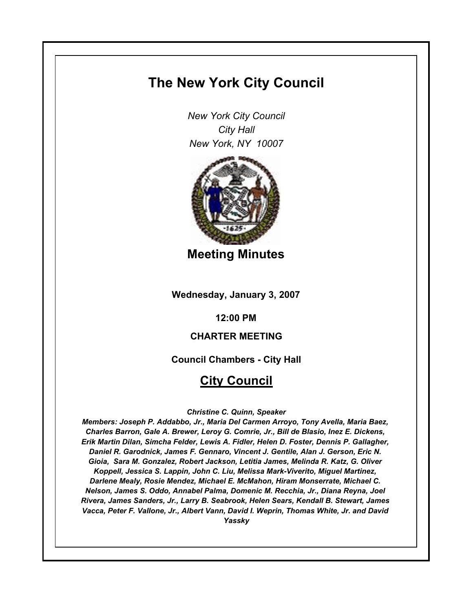# **The New York City Council**

*New York City Council City Hall New York, NY 10007*



**Meeting Minutes**

**Wednesday, January 3, 2007**

**12:00 PM**

# **CHARTER MEETING**

**Council Chambers - City Hall**

# **City Council**

*Christine C. Quinn, Speaker*

*Members: Joseph P. Addabbo, Jr., Maria Del Carmen Arroyo, Tony Avella, Maria Baez, Charles Barron, Gale A. Brewer, Leroy G. Comrie, Jr., Bill de Blasio, Inez E. Dickens, Erik Martin Dilan, Simcha Felder, Lewis A. Fidler, Helen D. Foster, Dennis P. Gallagher, Daniel R. Garodnick, James F. Gennaro, Vincent J. Gentile, Alan J. Gerson, Eric N. Gioia, Sara M. Gonzalez, Robert Jackson, Letitia James, Melinda R. Katz, G. Oliver Koppell, Jessica S. Lappin, John C. Liu, Melissa Mark-Viverito, Miguel Martinez, Darlene Mealy, Rosie Mendez, Michael E. McMahon, Hiram Monserrate, Michael C. Nelson, James S. Oddo, Annabel Palma, Domenic M. Recchia, Jr., Diana Reyna, Joel Rivera, James Sanders, Jr., Larry B. Seabrook, Helen Sears, Kendall B. Stewart, James Vacca, Peter F. Vallone, Jr., Albert Vann, David I. Weprin, Thomas White, Jr. and David Yassky*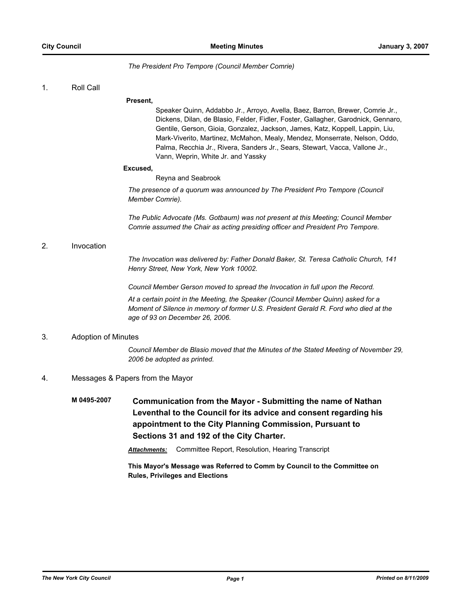### *The President Pro Tempore (Council Member Comrie)*

### 1. Roll Call

#### **Present,**

Speaker Quinn, Addabbo Jr., Arroyo, Avella, Baez, Barron, Brewer, Comrie Jr., Dickens, Dilan, de Blasio, Felder, Fidler, Foster, Gallagher, Garodnick, Gennaro, Gentile, Gerson, Gioia, Gonzalez, Jackson, James, Katz, Koppell, Lappin, Liu, Mark-Viverito, Martinez, McMahon, Mealy, Mendez, Monserrate, Nelson, Oddo, Palma, Recchia Jr., Rivera, Sanders Jr., Sears, Stewart, Vacca, Vallone Jr., Vann, Weprin, White Jr. and Yassky

#### **Excused,**

Reyna and Seabrook

*The presence of a quorum was announced by The President Pro Tempore (Council Member Comrie).*

*The Public Advocate (Ms. Gotbaum) was not present at this Meeting; Council Member Comrie assumed the Chair as acting presiding officer and President Pro Tempore.*

### 2. Invocation

*The Invocation was delivered by: Father Donald Baker, St. Teresa Catholic Church, 141 Henry Street, New York, New York 10002.*

*Council Member Gerson moved to spread the Invocation in full upon the Record.*

*At a certain point in the Meeting, the Speaker (Council Member Quinn) asked for a Moment of Silence in memory of former U.S. President Gerald R. Ford who died at the age of 93 on December 26, 2006.*

### 3. Adoption of Minutes

*Council Member de Blasio moved that the Minutes of the Stated Meeting of November 29, 2006 be adopted as printed.*

### 4. Messages & Papers from the Mayor

**M 0495-2007 Communication from the Mayor - Submitting the name of Nathan Leventhal to the Council for its advice and consent regarding his appointment to the City Planning Commission, Pursuant to Sections 31 and 192 of the City Charter.**

*Attachments:* Committee Report, Resolution, Hearing Transcript

**This Mayor's Message was Referred to Comm by Council to the Committee on Rules, Privileges and Elections**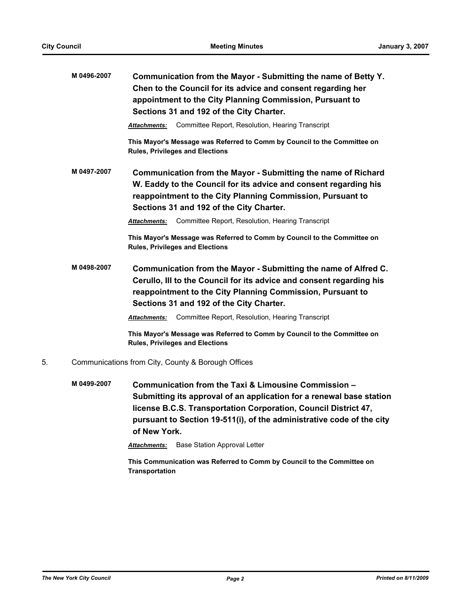|    | M 0496-2007 | Communication from the Mayor - Submitting the name of Betty Y.<br>Chen to the Council for its advice and consent regarding her<br>appointment to the City Planning Commission, Pursuant to<br>Sections 31 and 192 of the City Charter.            |
|----|-------------|---------------------------------------------------------------------------------------------------------------------------------------------------------------------------------------------------------------------------------------------------|
|    |             | Committee Report, Resolution, Hearing Transcript<br>Attachments:                                                                                                                                                                                  |
|    |             | This Mayor's Message was Referred to Comm by Council to the Committee on<br><b>Rules, Privileges and Elections</b>                                                                                                                                |
|    | M 0497-2007 | Communication from the Mayor - Submitting the name of Richard<br>W. Eaddy to the Council for its advice and consent regarding his<br>reappointment to the City Planning Commission, Pursuant to<br>Sections 31 and 192 of the City Charter.       |
|    |             | Committee Report, Resolution, Hearing Transcript<br><b>Attachments:</b>                                                                                                                                                                           |
|    |             | This Mayor's Message was Referred to Comm by Council to the Committee on<br><b>Rules, Privileges and Elections</b>                                                                                                                                |
|    | M 0498-2007 | Communication from the Mayor - Submitting the name of Alfred C.<br>Cerullo, III to the Council for its advice and consent regarding his<br>reappointment to the City Planning Commission, Pursuant to<br>Sections 31 and 192 of the City Charter. |
|    |             | Committee Report, Resolution, Hearing Transcript<br>Attachments:                                                                                                                                                                                  |
|    |             | This Mayor's Message was Referred to Comm by Council to the Committee on<br><b>Rules, Privileges and Elections</b>                                                                                                                                |
| 5. |             | Communications from City, County & Borough Offices                                                                                                                                                                                                |
|    | M 0499-2007 | Communication from the Taxi & Limousine Commission -<br>Submitting its approval of an application for a renewal base station<br>license B.C.S. Transportation Corporation, Council District 47,                                                   |

**pursuant to Section 19-511(i), of the administrative code of the city of New York.**

*Attachments:* Base Station Approval Letter

**This Communication was Referred to Comm by Council to the Committee on Transportation**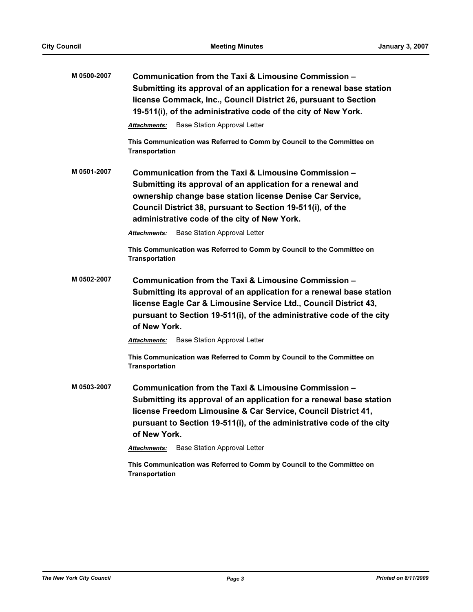| M 0500-2007 | Communication from the Taxi & Limousine Commission -<br>Submitting its approval of an application for a renewal base station<br>license Commack, Inc., Council District 26, pursuant to Section<br>19-511(i), of the administrative code of the city of New York.                                                                                    |  |  |
|-------------|------------------------------------------------------------------------------------------------------------------------------------------------------------------------------------------------------------------------------------------------------------------------------------------------------------------------------------------------------|--|--|
|             | <b>Base Station Approval Letter</b><br><b>Attachments:</b>                                                                                                                                                                                                                                                                                           |  |  |
|             | This Communication was Referred to Comm by Council to the Committee on<br><b>Transportation</b>                                                                                                                                                                                                                                                      |  |  |
| M 0501-2007 | Communication from the Taxi & Limousine Commission -<br>Submitting its approval of an application for a renewal and<br>ownership change base station license Denise Car Service,<br>Council District 38, pursuant to Section 19-511(i), of the<br>administrative code of the city of New York.                                                       |  |  |
|             | <b>Base Station Approval Letter</b><br><b>Attachments:</b>                                                                                                                                                                                                                                                                                           |  |  |
|             | This Communication was Referred to Comm by Council to the Committee on<br><b>Transportation</b>                                                                                                                                                                                                                                                      |  |  |
| M 0502-2007 | Communication from the Taxi & Limousine Commission -<br>Submitting its approval of an application for a renewal base station<br>license Eagle Car & Limousine Service Ltd., Council District 43,<br>pursuant to Section 19-511(i), of the administrative code of the city<br>of New York.                                                            |  |  |
|             | <b>Base Station Approval Letter</b><br><b>Attachments:</b>                                                                                                                                                                                                                                                                                           |  |  |
|             | This Communication was Referred to Comm by Council to the Committee on<br><b>Transportation</b>                                                                                                                                                                                                                                                      |  |  |
| M 0503-2007 | Communication from the Taxi & Limousine Commission -<br>Submitting its approval of an application for a renewal base station<br>license Freedom Limousine & Car Service, Council District 41,<br>pursuant to Section 19-511(i), of the administrative code of the city<br>of New York.<br><b>Base Station Approval Letter</b><br><b>Attachments:</b> |  |  |

**This Communication was Referred to Comm by Council to the Committee on Transportation**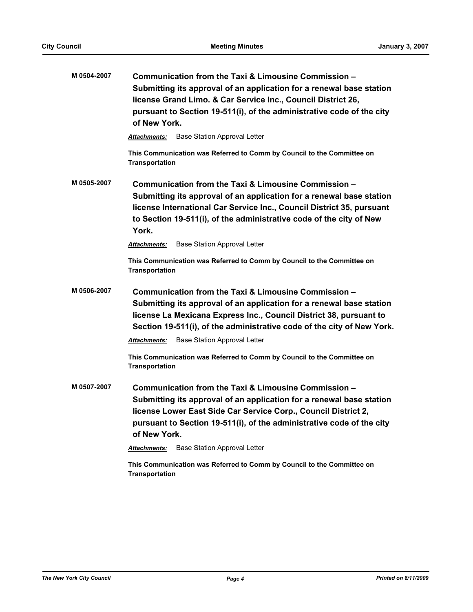| M 0504-2007 | Communication from the Taxi & Limousine Commission -<br>Submitting its approval of an application for a renewal base station<br>license Grand Limo. & Car Service Inc., Council District 26,<br>pursuant to Section 19-511(i), of the administrative code of the city<br>of New York.                                                          |  |  |
|-------------|------------------------------------------------------------------------------------------------------------------------------------------------------------------------------------------------------------------------------------------------------------------------------------------------------------------------------------------------|--|--|
|             | <b>Base Station Approval Letter</b><br><b>Attachments:</b>                                                                                                                                                                                                                                                                                     |  |  |
|             | This Communication was Referred to Comm by Council to the Committee on<br>Transportation                                                                                                                                                                                                                                                       |  |  |
| M 0505-2007 | Communication from the Taxi & Limousine Commission –<br>Submitting its approval of an application for a renewal base station<br>license International Car Service Inc., Council District 35, pursuant<br>to Section 19-511(i), of the administrative code of the city of New<br>York.                                                          |  |  |
|             | Base Station Approval Letter<br><b>Attachments:</b>                                                                                                                                                                                                                                                                                            |  |  |
|             | This Communication was Referred to Comm by Council to the Committee on<br><b>Transportation</b>                                                                                                                                                                                                                                                |  |  |
| M 0506-2007 | Communication from the Taxi & Limousine Commission -<br>Submitting its approval of an application for a renewal base station<br>license La Mexicana Express Inc., Council District 38, pursuant to<br>Section 19-511(i), of the administrative code of the city of New York.                                                                   |  |  |
|             | <b>Base Station Approval Letter</b><br><b>Attachments:</b>                                                                                                                                                                                                                                                                                     |  |  |
|             | This Communication was Referred to Comm by Council to the Committee on<br><b>Transportation</b>                                                                                                                                                                                                                                                |  |  |
| M 0507-2007 | Communication from the Taxi & Limousine Commission -<br>Submitting its approval of an application for a renewal base station<br>license Lower East Side Car Service Corp., Council District 2,<br>pursuant to Section 19-511(i), of the administrative code of the city<br>of New York.<br><b>Base Station Approval Letter</b><br>Attachments: |  |  |

**This Communication was Referred to Comm by Council to the Committee on Transportation**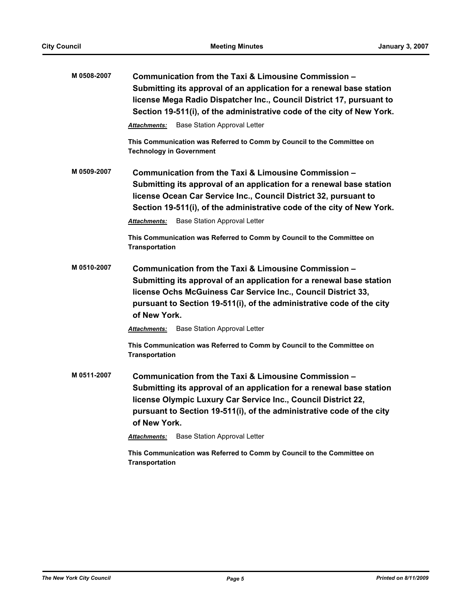| M 0508-2007 | Communication from the Taxi & Limousine Commission -<br>Submitting its approval of an application for a renewal base station<br>license Mega Radio Dispatcher Inc., Council District 17, pursuant to<br>Section 19-511(i), of the administrative code of the city of New York.                                                                                                                                                                          |  |  |
|-------------|---------------------------------------------------------------------------------------------------------------------------------------------------------------------------------------------------------------------------------------------------------------------------------------------------------------------------------------------------------------------------------------------------------------------------------------------------------|--|--|
|             | <b>Base Station Approval Letter</b><br><b>Attachments:</b>                                                                                                                                                                                                                                                                                                                                                                                              |  |  |
|             | This Communication was Referred to Comm by Council to the Committee on<br><b>Technology in Government</b>                                                                                                                                                                                                                                                                                                                                               |  |  |
| M 0509-2007 | Communication from the Taxi & Limousine Commission -<br>Submitting its approval of an application for a renewal base station<br>license Ocean Car Service Inc., Council District 32, pursuant to<br>Section 19-511(i), of the administrative code of the city of New York.<br><b>Base Station Approval Letter</b><br><b>Attachments:</b>                                                                                                                |  |  |
|             | This Communication was Referred to Comm by Council to the Committee on<br><b>Transportation</b>                                                                                                                                                                                                                                                                                                                                                         |  |  |
| M 0510-2007 | Communication from the Taxi & Limousine Commission -<br>Submitting its approval of an application for a renewal base station<br>license Ochs McGuiness Car Service Inc., Council District 33,<br>pursuant to Section 19-511(i), of the administrative code of the city<br>of New York.<br><b>Base Station Approval Letter</b><br><b>Attachments:</b><br>This Communication was Referred to Comm by Council to the Committee on<br><b>Transportation</b> |  |  |
| M 0511-2007 | Communication from the Taxi & Limousine Commission -<br>Submitting its approval of an application for a renewal base station<br>license Olympic Luxury Car Service Inc., Council District 22,<br>pursuant to Section 19-511(i), of the administrative code of the city<br>of New York.                                                                                                                                                                  |  |  |
|             | <b>Base Station Approval Letter</b><br><b>Attachments:</b>                                                                                                                                                                                                                                                                                                                                                                                              |  |  |
|             | This Communication was Referred to Comm by Council to the Committee on<br><b>Transportation</b>                                                                                                                                                                                                                                                                                                                                                         |  |  |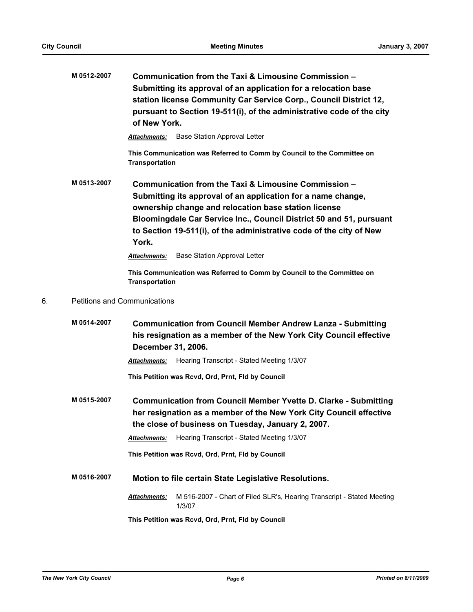|    | M 0512-2007                         | Communication from the Taxi & Limousine Commission -<br>Submitting its approval of an application for a relocation base<br>station license Community Car Service Corp., Council District 12,<br>pursuant to Section 19-511(i), of the administrative code of the city<br>of New York.                                               |  |  |
|----|-------------------------------------|-------------------------------------------------------------------------------------------------------------------------------------------------------------------------------------------------------------------------------------------------------------------------------------------------------------------------------------|--|--|
|    |                                     | <b>Base Station Approval Letter</b><br>Attachments:                                                                                                                                                                                                                                                                                 |  |  |
|    |                                     | This Communication was Referred to Comm by Council to the Committee on<br><b>Transportation</b>                                                                                                                                                                                                                                     |  |  |
|    | M 0513-2007                         | Communication from the Taxi & Limousine Commission -<br>Submitting its approval of an application for a name change,<br>ownership change and relocation base station license<br>Bloomingdale Car Service Inc., Council District 50 and 51, pursuant<br>to Section 19-511(i), of the administrative code of the city of New<br>York. |  |  |
|    |                                     | <b>Base Station Approval Letter</b><br><b>Attachments:</b>                                                                                                                                                                                                                                                                          |  |  |
|    |                                     | This Communication was Referred to Comm by Council to the Committee on<br><b>Transportation</b>                                                                                                                                                                                                                                     |  |  |
| 6. | <b>Petitions and Communications</b> |                                                                                                                                                                                                                                                                                                                                     |  |  |
|    | M 0514-2007                         | <b>Communication from Council Member Andrew Lanza - Submitting</b><br>his resignation as a member of the New York City Council effective<br>December 31, 2006.                                                                                                                                                                      |  |  |
|    |                                     | Hearing Transcript - Stated Meeting 1/3/07<br><b>Attachments:</b>                                                                                                                                                                                                                                                                   |  |  |
|    |                                     | This Petition was Rcvd, Ord, Prnt, Fld by Council                                                                                                                                                                                                                                                                                   |  |  |
|    | M 0515-2007                         | <b>Communication from Council Member Yvette D. Clarke - Submitting</b><br>her resignation as a member of the New York City Council effective<br>the close of business on Tuesday, January 2, 2007.                                                                                                                                  |  |  |
|    |                                     | Hearing Transcript - Stated Meeting 1/3/07<br>Attachments:                                                                                                                                                                                                                                                                          |  |  |
|    |                                     | This Petition was Rcvd, Ord, Prnt, Fld by Council                                                                                                                                                                                                                                                                                   |  |  |
|    | M 0516-2007                         | Motion to file certain State Legislative Resolutions.                                                                                                                                                                                                                                                                               |  |  |
|    |                                     | Attachments:<br>M 516-2007 - Chart of Filed SLR's, Hearing Transcript - Stated Meeting<br>1/3/07                                                                                                                                                                                                                                    |  |  |
|    |                                     | This Petition was Rcvd, Ord, Prnt, Fld by Council                                                                                                                                                                                                                                                                                   |  |  |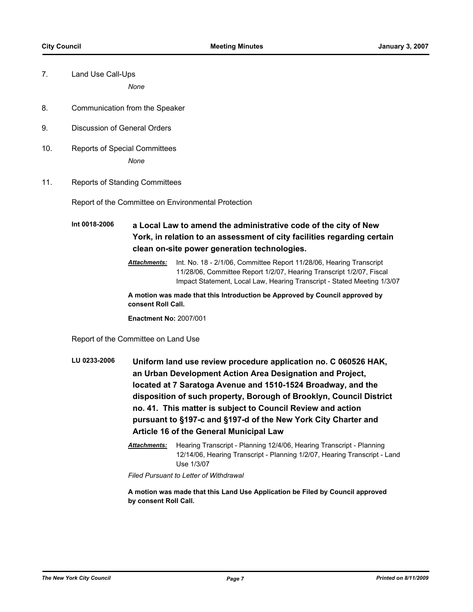7. Land Use Call-Ups

*None*

- 8. Communication from the Speaker
- 9. Discussion of General Orders
- 10. Reports of Special Committees *None*
- 11. Reports of Standing Committees

Report of the Committee on Environmental Protection

**Int 0018-2006 a Local Law to amend the administrative code of the city of New York, in relation to an assessment of city facilities regarding certain clean on-site power generation technologies.**

> *Attachments:* Int. No. 18 - 2/1/06, Committee Report 11/28/06, Hearing Transcript 11/28/06, Committee Report 1/2/07, Hearing Transcript 1/2/07, Fiscal Impact Statement, Local Law, Hearing Transcript - Stated Meeting 1/3/07

**A motion was made that this Introduction be Approved by Council approved by consent Roll Call.**

**Enactment No:** 2007/001

Report of the Committee on Land Use

- **LU 0233-2006 Uniform land use review procedure application no. C 060526 HAK, an Urban Development Action Area Designation and Project, located at 7 Saratoga Avenue and 1510-1524 Broadway, and the disposition of such property, Borough of Brooklyn, Council District no. 41. This matter is subject to Council Review and action pursuant to §197-c and §197-d of the New York City Charter and Article 16 of the General Municipal Law**
	- *Attachments:* Hearing Transcript Planning 12/4/06, Hearing Transcript Planning 12/14/06, Hearing Transcript - Planning 1/2/07, Hearing Transcript - Land Use 1/3/07

*Filed Pursuant to Letter of Withdrawal*

**A motion was made that this Land Use Application be Filed by Council approved by consent Roll Call.**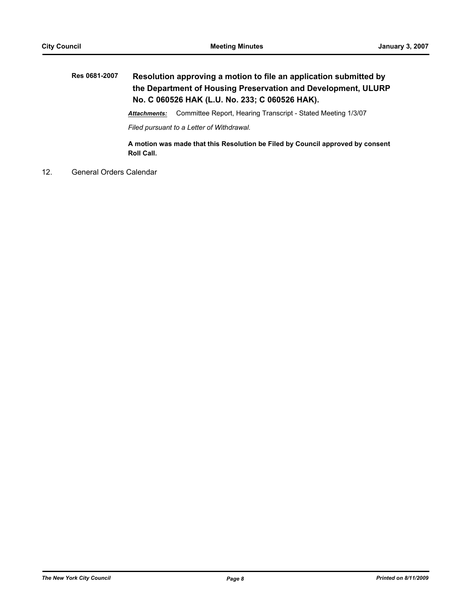# **Res 0681-2007 Resolution approving a motion to file an application submitted by the Department of Housing Preservation and Development, ULURP No. C 060526 HAK (L.U. No. 233; C 060526 HAK).**

*Attachments:* Committee Report, Hearing Transcript - Stated Meeting 1/3/07

*Filed pursuant to a Letter of Withdrawal.*

**A motion was made that this Resolution be Filed by Council approved by consent Roll Call.**

12. General Orders Calendar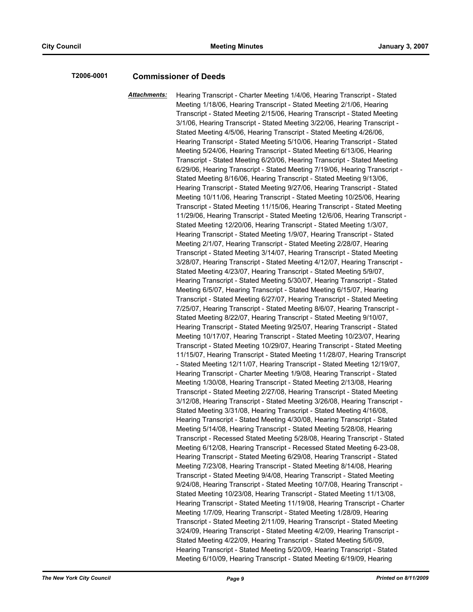## **T2006-0001 Commissioner of Deeds**

*Attachments:* Hearing Transcript - Charter Meeting 1/4/06, Hearing Transcript - Stated Meeting 1/18/06, Hearing Transcript - Stated Meeting 2/1/06, Hearing Transcript - Stated Meeting 2/15/06, Hearing Transcript - Stated Meeting 3/1/06, Hearing Transcript - Stated Meeting 3/22/06, Hearing Transcript - Stated Meeting 4/5/06, Hearing Transcript - Stated Meeting 4/26/06, Hearing Transcript - Stated Meeting 5/10/06, Hearing Transcript - Stated Meeting 5/24/06, Hearing Transcript - Stated Meeting 6/13/06, Hearing Transcript - Stated Meeting 6/20/06, Hearing Transcript - Stated Meeting 6/29/06, Hearing Transcript - Stated Meeting 7/19/06, Hearing Transcript - Stated Meeting 8/16/06, Hearing Transcript - Stated Meeting 9/13/06, Hearing Transcript - Stated Meeting 9/27/06, Hearing Transcript - Stated Meeting 10/11/06, Hearing Transcript - Stated Meeting 10/25/06, Hearing Transcript - Stated Meeting 11/15/06, Hearing Transcript - Stated Meeting 11/29/06, Hearing Transcript - Stated Meeting 12/6/06, Hearing Transcript - Stated Meeting 12/20/06, Hearing Transcript - Stated Meeting 1/3/07, Hearing Transcript - Stated Meeting 1/9/07, Hearing Transcript - Stated Meeting 2/1/07, Hearing Transcript - Stated Meeting 2/28/07, Hearing Transcript - Stated Meeting 3/14/07, Hearing Transcript - Stated Meeting 3/28/07, Hearing Transcript - Stated Meeting 4/12/07, Hearing Transcript - Stated Meeting 4/23/07, Hearing Transcript - Stated Meeting 5/9/07, Hearing Transcript - Stated Meeting 5/30/07, Hearing Transcript - Stated Meeting 6/5/07, Hearing Transcript - Stated Meeting 6/15/07, Hearing Transcript - Stated Meeting 6/27/07, Hearing Transcript - Stated Meeting 7/25/07, Hearing Transcript - Stated Meeting 8/6/07, Hearing Transcript - Stated Meeting 8/22/07, Hearing Transcript - Stated Meeting 9/10/07, Hearing Transcript - Stated Meeting 9/25/07, Hearing Transcript - Stated Meeting 10/17/07, Hearing Transcript - Stated Meeting 10/23/07, Hearing Transcript - Stated Meeting 10/29/07, Hearing Transcript - Stated Meeting 11/15/07, Hearing Transcript - Stated Meeting 11/28/07, Hearing Transcript - Stated Meeting 12/11/07, Hearing Transcript - Stated Meeting 12/19/07, Hearing Transcript - Charter Meeting 1/9/08, Hearing Transcript - Stated Meeting 1/30/08, Hearing Transcript - Stated Meeting 2/13/08, Hearing Transcript - Stated Meeting 2/27/08, Hearing Transcript - Stated Meeting 3/12/08, Hearing Transcript - Stated Meeting 3/26/08, Hearing Transcript - Stated Meeting 3/31/08, Hearing Transcript - Stated Meeting 4/16/08, Hearing Transcript - Stated Meeting 4/30/08, Hearing Transcript - Stated Meeting 5/14/08, Hearing Transcript - Stated Meeting 5/28/08, Hearing Transcript - Recessed Stated Meeting 5/28/08, Hearing Transcript - Stated Meeting 6/12/08, Hearing Transcript - Recessed Stated Meeting 6-23-08, Hearing Transcript - Stated Meeting 6/29/08, Hearing Transcript - Stated Meeting 7/23/08, Hearing Transcript - Stated Meeting 8/14/08, Hearing Transcript - Stated Meeting 9/4/08, Hearing Transcript - Stated Meeting 9/24/08, Hearing Transcript - Stated Meeting 10/7/08, Hearing Transcript - Stated Meeting 10/23/08, Hearing Transcript - Stated Meeting 11/13/08, Hearing Transcript - Stated Meeting 11/19/08, Hearing Transcript - Charter Meeting 1/7/09, Hearing Transcript - Stated Meeting 1/28/09, Hearing Transcript - Stated Meeting 2/11/09, Hearing Transcript - Stated Meeting 3/24/09, Hearing Transcript - Stated Meeting 4/2/09, Hearing Transcript - Stated Meeting 4/22/09, Hearing Transcript - Stated Meeting 5/6/09, Hearing Transcript - Stated Meeting 5/20/09, Hearing Transcript - Stated Meeting 6/10/09, Hearing Transcript - Stated Meeting 6/19/09, Hearing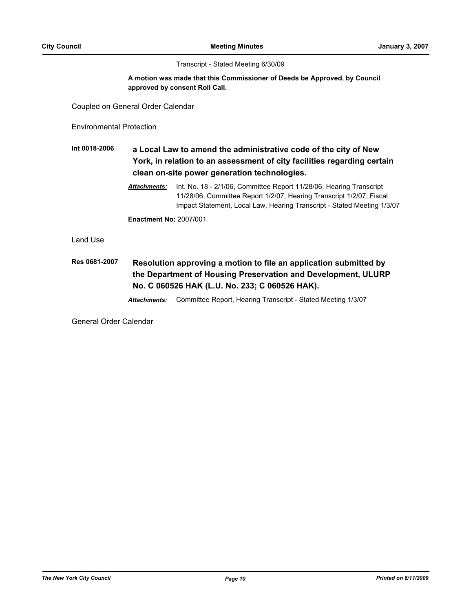Transcript - Stated Meeting 6/30/09

### **A motion was made that this Commissioner of Deeds be Approved, by Council approved by consent Roll Call.**

Coupled on General Order Calendar

Environmental Protection

# **Int 0018-2006 a Local Law to amend the administrative code of the city of New York, in relation to an assessment of city facilities regarding certain clean on-site power generation technologies.**

*Attachments:* Int. No. 18 - 2/1/06, Committee Report 11/28/06, Hearing Transcript 11/28/06, Committee Report 1/2/07, Hearing Transcript 1/2/07, Fiscal Impact Statement, Local Law, Hearing Transcript - Stated Meeting 1/3/07

**Enactment No:** 2007/001

Land Use

# **Res 0681-2007 Resolution approving a motion to file an application submitted by the Department of Housing Preservation and Development, ULURP No. C 060526 HAK (L.U. No. 233; C 060526 HAK).**

*Attachments:* Committee Report, Hearing Transcript - Stated Meeting 1/3/07

General Order Calendar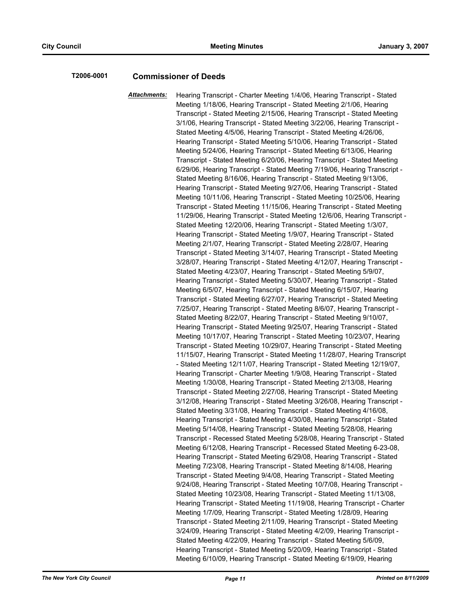## **T2006-0001 Commissioner of Deeds**

*Attachments:* Hearing Transcript - Charter Meeting 1/4/06, Hearing Transcript - Stated Meeting 1/18/06, Hearing Transcript - Stated Meeting 2/1/06, Hearing Transcript - Stated Meeting 2/15/06, Hearing Transcript - Stated Meeting 3/1/06, Hearing Transcript - Stated Meeting 3/22/06, Hearing Transcript - Stated Meeting 4/5/06, Hearing Transcript - Stated Meeting 4/26/06, Hearing Transcript - Stated Meeting 5/10/06, Hearing Transcript - Stated Meeting 5/24/06, Hearing Transcript - Stated Meeting 6/13/06, Hearing Transcript - Stated Meeting 6/20/06, Hearing Transcript - Stated Meeting 6/29/06, Hearing Transcript - Stated Meeting 7/19/06, Hearing Transcript - Stated Meeting 8/16/06, Hearing Transcript - Stated Meeting 9/13/06, Hearing Transcript - Stated Meeting 9/27/06, Hearing Transcript - Stated Meeting 10/11/06, Hearing Transcript - Stated Meeting 10/25/06, Hearing Transcript - Stated Meeting 11/15/06, Hearing Transcript - Stated Meeting 11/29/06, Hearing Transcript - Stated Meeting 12/6/06, Hearing Transcript - Stated Meeting 12/20/06, Hearing Transcript - Stated Meeting 1/3/07, Hearing Transcript - Stated Meeting 1/9/07, Hearing Transcript - Stated Meeting 2/1/07, Hearing Transcript - Stated Meeting 2/28/07, Hearing Transcript - Stated Meeting 3/14/07, Hearing Transcript - Stated Meeting 3/28/07, Hearing Transcript - Stated Meeting 4/12/07, Hearing Transcript - Stated Meeting 4/23/07, Hearing Transcript - Stated Meeting 5/9/07, Hearing Transcript - Stated Meeting 5/30/07, Hearing Transcript - Stated Meeting 6/5/07, Hearing Transcript - Stated Meeting 6/15/07, Hearing Transcript - Stated Meeting 6/27/07, Hearing Transcript - Stated Meeting 7/25/07, Hearing Transcript - Stated Meeting 8/6/07, Hearing Transcript - Stated Meeting 8/22/07, Hearing Transcript - Stated Meeting 9/10/07, Hearing Transcript - Stated Meeting 9/25/07, Hearing Transcript - Stated Meeting 10/17/07, Hearing Transcript - Stated Meeting 10/23/07, Hearing Transcript - Stated Meeting 10/29/07, Hearing Transcript - Stated Meeting 11/15/07, Hearing Transcript - Stated Meeting 11/28/07, Hearing Transcript - Stated Meeting 12/11/07, Hearing Transcript - Stated Meeting 12/19/07, Hearing Transcript - Charter Meeting 1/9/08, Hearing Transcript - Stated Meeting 1/30/08, Hearing Transcript - Stated Meeting 2/13/08, Hearing Transcript - Stated Meeting 2/27/08, Hearing Transcript - Stated Meeting 3/12/08, Hearing Transcript - Stated Meeting 3/26/08, Hearing Transcript - Stated Meeting 3/31/08, Hearing Transcript - Stated Meeting 4/16/08, Hearing Transcript - Stated Meeting 4/30/08, Hearing Transcript - Stated Meeting 5/14/08, Hearing Transcript - Stated Meeting 5/28/08, Hearing Transcript - Recessed Stated Meeting 5/28/08, Hearing Transcript - Stated Meeting 6/12/08, Hearing Transcript - Recessed Stated Meeting 6-23-08, Hearing Transcript - Stated Meeting 6/29/08, Hearing Transcript - Stated Meeting 7/23/08, Hearing Transcript - Stated Meeting 8/14/08, Hearing Transcript - Stated Meeting 9/4/08, Hearing Transcript - Stated Meeting 9/24/08, Hearing Transcript - Stated Meeting 10/7/08, Hearing Transcript - Stated Meeting 10/23/08, Hearing Transcript - Stated Meeting 11/13/08, Hearing Transcript - Stated Meeting 11/19/08, Hearing Transcript - Charter Meeting 1/7/09, Hearing Transcript - Stated Meeting 1/28/09, Hearing Transcript - Stated Meeting 2/11/09, Hearing Transcript - Stated Meeting 3/24/09, Hearing Transcript - Stated Meeting 4/2/09, Hearing Transcript - Stated Meeting 4/22/09, Hearing Transcript - Stated Meeting 5/6/09, Hearing Transcript - Stated Meeting 5/20/09, Hearing Transcript - Stated Meeting 6/10/09, Hearing Transcript - Stated Meeting 6/19/09, Hearing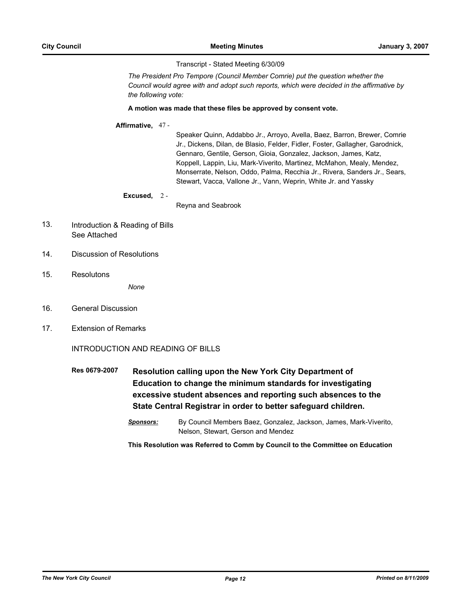Transcript - Stated Meeting 6/30/09

*The President Pro Tempore (Council Member Comrie) put the question whether the Council would agree with and adopt such reports, which were decided in the affirmative by the following vote:*

#### **A motion was made that these files be approved by consent vote.**

### **Affirmative,** 47 -

Speaker Quinn, Addabbo Jr., Arroyo, Avella, Baez, Barron, Brewer, Comrie Jr., Dickens, Dilan, de Blasio, Felder, Fidler, Foster, Gallagher, Garodnick, Gennaro, Gentile, Gerson, Gioia, Gonzalez, Jackson, James, Katz, Koppell, Lappin, Liu, Mark-Viverito, Martinez, McMahon, Mealy, Mendez, Monserrate, Nelson, Oddo, Palma, Recchia Jr., Rivera, Sanders Jr., Sears, Stewart, Vacca, Vallone Jr., Vann, Weprin, White Jr. and Yassky

### **Excused,** 2 -

Reyna and Seabrook

- Introduction & Reading of Bills See Attached 13.
- 14. Discussion of Resolutions
- 15. Resolutons

*None*

- 16. General Discussion
- 17. Extension of Remarks

INTRODUCTION AND READING OF BILLS

- **Res 0679-2007 Resolution calling upon the New York City Department of Education to change the minimum standards for investigating excessive student absences and reporting such absences to the State Central Registrar in order to better safeguard children.**
	- *Sponsors:* By Council Members Baez, Gonzalez, Jackson, James, Mark-Viverito, Nelson, Stewart, Gerson and Mendez

**This Resolution was Referred to Comm by Council to the Committee on Education**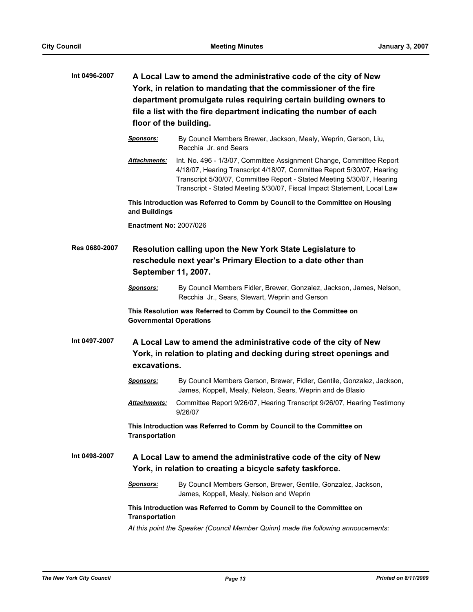| Int 0496-2007        | A Local Law to amend the administrative code of the city of New<br>York, in relation to mandating that the commissioner of the fire<br>department promulgate rules requiring certain building owners to<br>file a list with the fire department indicating the number of each<br>floor of the building. |                                                                                                                                                                                                                                                                                                     |  |  |
|----------------------|---------------------------------------------------------------------------------------------------------------------------------------------------------------------------------------------------------------------------------------------------------------------------------------------------------|-----------------------------------------------------------------------------------------------------------------------------------------------------------------------------------------------------------------------------------------------------------------------------------------------------|--|--|
|                      | <b>Sponsors:</b>                                                                                                                                                                                                                                                                                        | By Council Members Brewer, Jackson, Mealy, Weprin, Gerson, Liu,<br>Recchia Jr. and Sears                                                                                                                                                                                                            |  |  |
|                      | Attachments:                                                                                                                                                                                                                                                                                            | Int. No. 496 - 1/3/07, Committee Assignment Change, Committee Report<br>4/18/07, Hearing Transcript 4/18/07, Committee Report 5/30/07, Hearing<br>Transcript 5/30/07, Committee Report - Stated Meeting 5/30/07, Hearing<br>Transcript - Stated Meeting 5/30/07, Fiscal Impact Statement, Local Law |  |  |
|                      | This Introduction was Referred to Comm by Council to the Committee on Housing<br>and Buildings                                                                                                                                                                                                          |                                                                                                                                                                                                                                                                                                     |  |  |
|                      | <b>Enactment No: 2007/026</b>                                                                                                                                                                                                                                                                           |                                                                                                                                                                                                                                                                                                     |  |  |
| <b>Res 0680-2007</b> | Resolution calling upon the New York State Legislature to<br>reschedule next year's Primary Election to a date other than<br>September 11, 2007.                                                                                                                                                        |                                                                                                                                                                                                                                                                                                     |  |  |
|                      | <u>Sponsors:</u>                                                                                                                                                                                                                                                                                        | By Council Members Fidler, Brewer, Gonzalez, Jackson, James, Nelson,<br>Recchia Jr., Sears, Stewart, Weprin and Gerson                                                                                                                                                                              |  |  |
|                      | This Resolution was Referred to Comm by Council to the Committee on<br><b>Governmental Operations</b>                                                                                                                                                                                                   |                                                                                                                                                                                                                                                                                                     |  |  |
| Int 0497-2007        | excavations.                                                                                                                                                                                                                                                                                            | A Local Law to amend the administrative code of the city of New<br>York, in relation to plating and decking during street openings and                                                                                                                                                              |  |  |
|                      | <u>Sponsors:</u>                                                                                                                                                                                                                                                                                        | By Council Members Gerson, Brewer, Fidler, Gentile, Gonzalez, Jackson,<br>James, Koppell, Mealy, Nelson, Sears, Weprin and de Blasio                                                                                                                                                                |  |  |
|                      | Attachments:                                                                                                                                                                                                                                                                                            | Committee Report 9/26/07, Hearing Transcript 9/26/07, Hearing Testimony<br>9/26/07                                                                                                                                                                                                                  |  |  |
|                      | This Introduction was Referred to Comm by Council to the Committee on<br><b>Transportation</b>                                                                                                                                                                                                          |                                                                                                                                                                                                                                                                                                     |  |  |
| Int 0498-2007        | A Local Law to amend the administrative code of the city of New<br>York, in relation to creating a bicycle safety taskforce.                                                                                                                                                                            |                                                                                                                                                                                                                                                                                                     |  |  |
|                      | <b>Sponsors:</b>                                                                                                                                                                                                                                                                                        | By Council Members Gerson, Brewer, Gentile, Gonzalez, Jackson,<br>James, Koppell, Mealy, Nelson and Weprin                                                                                                                                                                                          |  |  |
|                      | <b>Transportation</b>                                                                                                                                                                                                                                                                                   | This Introduction was Referred to Comm by Council to the Committee on                                                                                                                                                                                                                               |  |  |
|                      | At this point the Speaker (Council Member Quinn) made the following annoucements:                                                                                                                                                                                                                       |                                                                                                                                                                                                                                                                                                     |  |  |